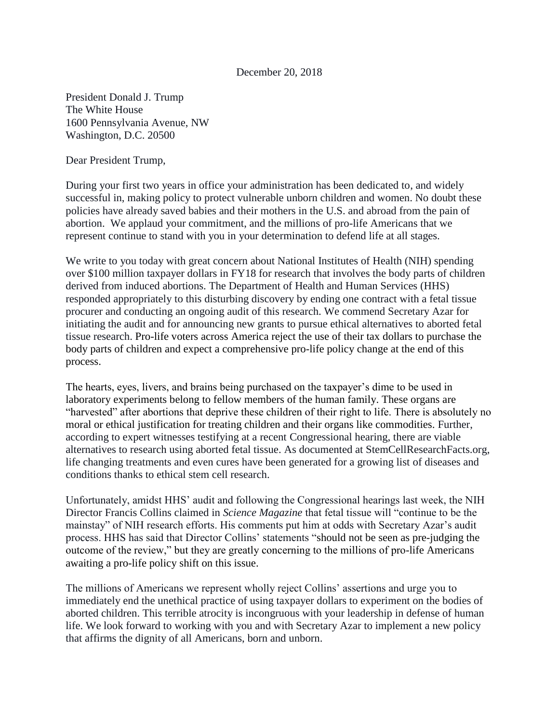## December 20, 2018

President Donald J. Trump The White House 1600 Pennsylvania Avenue, NW Washington, D.C. 20500

Dear President Trump,

During your first two years in office your administration has been dedicated to, and widely successful in, making policy to protect vulnerable unborn children and women. No doubt these policies have already saved babies and their mothers in the U.S. and abroad from the pain of abortion. We applaud your commitment, and the millions of pro-life Americans that we represent continue to stand with you in your determination to defend life at all stages.

We write to you today with great concern about National Institutes of Health (NIH) spending over \$100 million taxpayer dollars in FY18 for research that involves the body parts of children derived from induced abortions. The Department of Health and Human Services (HHS) responded appropriately to this disturbing discovery by ending one contract with a fetal tissue procurer and conducting an ongoing audit of this research. We commend Secretary Azar for initiating the audit and for announcing new grants to pursue ethical alternatives to aborted fetal tissue research. Pro-life voters across America reject the use of their tax dollars to purchase the body parts of children and expect a comprehensive pro-life policy change at the end of this process.

The hearts, eyes, livers, and brains being purchased on the taxpayer's dime to be used in laboratory experiments belong to fellow members of the human family. These organs are "harvested" after abortions that deprive these children of their right to life. There is absolutely no moral or ethical justification for treating children and their organs like commodities. Further, according to expert witnesses testifying at a recent Congressional hearing, there are viable alternatives to research using aborted fetal tissue. As documented at StemCellResearchFacts.org, life changing treatments and even cures have been generated for a growing list of diseases and conditions thanks to ethical stem cell research.

Unfortunately, amidst HHS' audit and following the Congressional hearings last week, the NIH Director Francis Collins claimed in *Science Magazine* that fetal tissue will "continue to be the mainstay" of NIH research efforts. His comments put him at odds with Secretary Azar's audit process. HHS has said that Director Collins' statements "should not be seen as pre-judging the outcome of the review," but they are greatly concerning to the millions of pro-life Americans awaiting a pro-life policy shift on this issue.

The millions of Americans we represent wholly reject Collins' assertions and urge you to immediately end the unethical practice of using taxpayer dollars to experiment on the bodies of aborted children. This terrible atrocity is incongruous with your leadership in defense of human life. We look forward to working with you and with Secretary Azar to implement a new policy that affirms the dignity of all Americans, born and unborn.